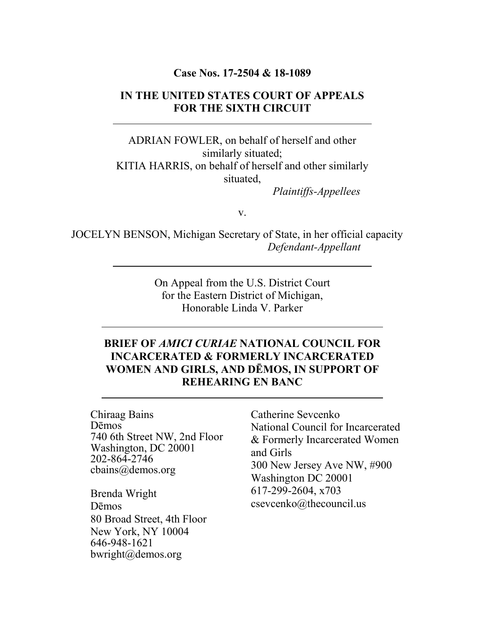#### **Case Nos. 17-2504 & 18-1089**

### **IN THE UNITED STATES COURT OF APPEALS FOR THE SIXTH CIRCUIT**

ADRIAN FOWLER, on behalf of herself and other similarly situated; KITIA HARRIS, on behalf of herself and other similarly situated,

 *Plaintiffs-Appellees*

v.

JOCELYN BENSON, Michigan Secretary of State, in her official capacity  *Defendant-Appellant*

> On Appeal from the U.S. District Court for the Eastern District of Michigan, Honorable Linda V. Parker

### **BRIEF OF** *AMICI CURIAE* **NATIONAL COUNCIL FOR INCARCERATED & FORMERLY INCARCERATED WOMEN AND GIRLS, AND DĒMOS, IN SUPPORT OF REHEARING EN BANC**

Chiraag Bains Dēmos 740 6th Street NW, 2nd Floor Washington, DC 20001 202-864-2746 cbains@demos.org

Brenda Wright Dēmos 80 Broad Street, 4th Floor New York, NY 10004 646-948-1621 bwright@demos.org

Catherine Sevcenko National Council for Incarcerated & Formerly Incarcerated Women and Girls 300 New Jersey Ave NW, #900 Washington DC 20001 617-299-2604, x703 csevcenko@thecouncil.us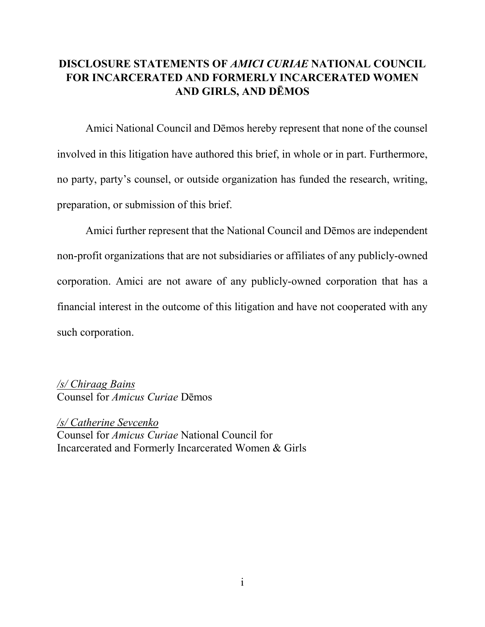## **DISCLOSURE STATEMENTS OF** *AMICI CURIAE* **NATIONAL COUNCIL FOR INCARCERATED AND FORMERLY INCARCERATED WOMEN AND GIRLS, AND DĒMOS**

Amici National Council and Dēmos hereby represent that none of the counsel involved in this litigation have authored this brief, in whole or in part. Furthermore, no party, party's counsel, or outside organization has funded the research, writing, preparation, or submission of this brief.

Amici further represent that the National Council and Dēmos are independent non-profit organizations that are not subsidiaries or affiliates of any publicly-owned corporation. Amici are not aware of any publicly-owned corporation that has a financial interest in the outcome of this litigation and have not cooperated with any such corporation.

*/s/ Chiraag Bains* Counsel for *Amicus Curiae* Dēmos

*/s/ Catherine Sevcenko* Counsel for *Amicus Curiae* National Council for Incarcerated and Formerly Incarcerated Women & Girls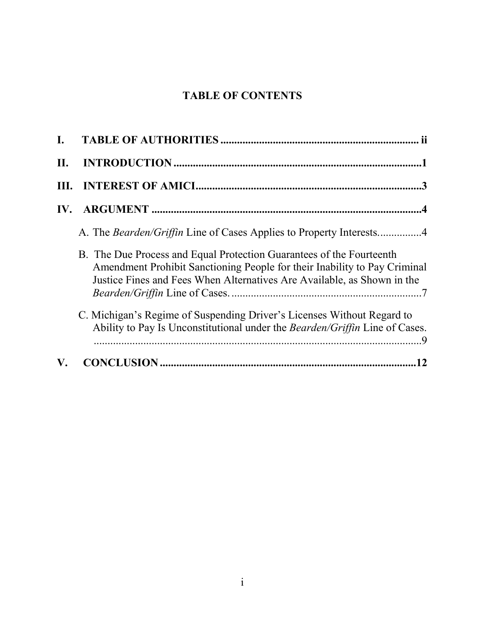# **TABLE OF CONTENTS**

| L. |                                                                                                                                                                                                                              |
|----|------------------------------------------------------------------------------------------------------------------------------------------------------------------------------------------------------------------------------|
| Н. |                                                                                                                                                                                                                              |
|    |                                                                                                                                                                                                                              |
|    |                                                                                                                                                                                                                              |
|    | A. The <i>Bearden/Griffin</i> Line of Cases Applies to Property Interests4                                                                                                                                                   |
|    | B. The Due Process and Equal Protection Guarantees of the Fourteenth<br>Amendment Prohibit Sanctioning People for their Inability to Pay Criminal<br>Justice Fines and Fees When Alternatives Are Available, as Shown in the |
|    | C. Michigan's Regime of Suspending Driver's Licenses Without Regard to<br>Ability to Pay Is Unconstitutional under the Bearden/Griffin Line of Cases.                                                                        |
| V. |                                                                                                                                                                                                                              |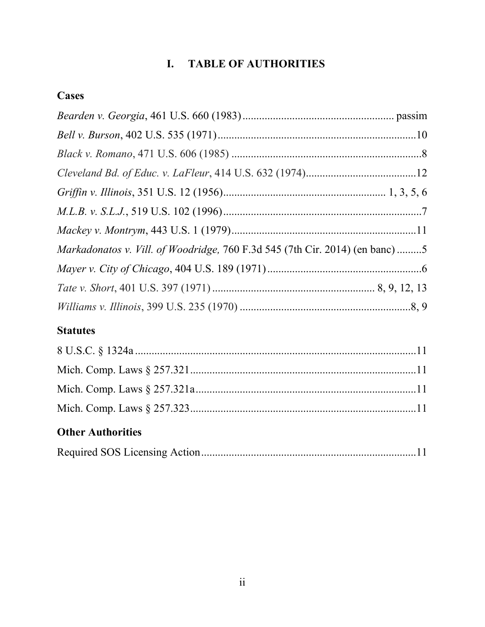# **I. TABLE OF AUTHORITIES**

# <span id="page-3-0"></span>**Cases**

| Markadonatos v. Vill. of Woodridge, 760 F.3d 545 (7th Cir. 2014) (en banc) 5 |
|------------------------------------------------------------------------------|
|                                                                              |
|                                                                              |
|                                                                              |

# **Statutes**

| <b>Other Authorities</b> |  |
|--------------------------|--|
|                          |  |
|                          |  |
|                          |  |
|                          |  |

|--|--|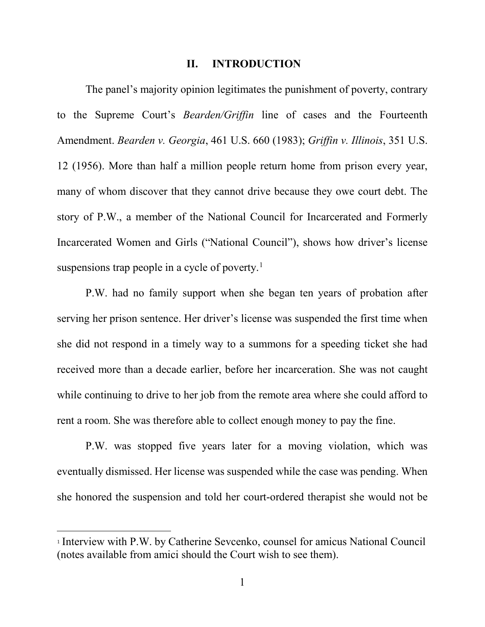#### **II. INTRODUCTION**

<span id="page-4-0"></span>The panel's majority opinion legitimates the punishment of poverty, contrary to the Supreme Court's *Bearden/Griffin* line of cases and the Fourteenth Amendment. *Bearden v. Georgia*, 461 U.S. 660 (1983); *Griffin v. Illinois*, 351 U.S. 12 (1956). More than half a million people return home from prison every year, many of whom discover that they cannot drive because they owe court debt. The story of P.W., a member of the National Council for Incarcerated and Formerly Incarcerated Women and Girls ("National Council"), shows how driver's license suspensions trap people in a cycle of poverty.<sup>[1](#page-4-1)</sup>

P.W. had no family support when she began ten years of probation after serving her prison sentence. Her driver's license was suspended the first time when she did not respond in a timely way to a summons for a speeding ticket she had received more than a decade earlier, before her incarceration. She was not caught while continuing to drive to her job from the remote area where she could afford to rent a room. She was therefore able to collect enough money to pay the fine.

P.W. was stopped five years later for a moving violation, which was eventually dismissed. Her license was suspended while the case was pending. When she honored the suspension and told her court-ordered therapist she would not be

<span id="page-4-1"></span><sup>1</sup> Interview with P.W. by Catherine Sevcenko, counsel for amicus National Council (notes available from amici should the Court wish to see them).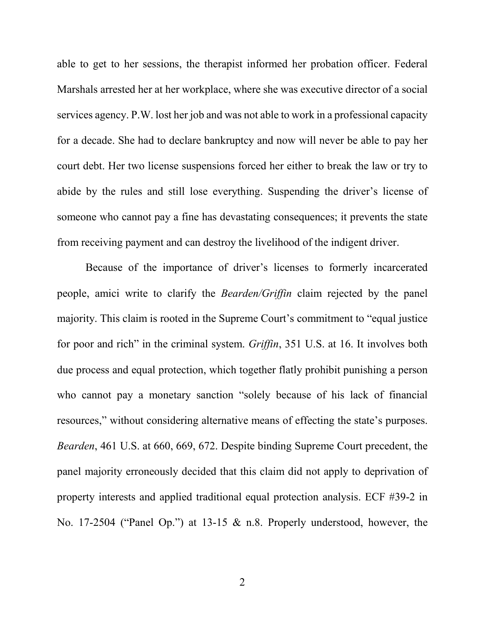able to get to her sessions, the therapist informed her probation officer. Federal Marshals arrested her at her workplace, where she was executive director of a social services agency. P.W. lost her job and was not able to work in a professional capacity for a decade. She had to declare bankruptcy and now will never be able to pay her court debt. Her two license suspensions forced her either to break the law or try to abide by the rules and still lose everything. Suspending the driver's license of someone who cannot pay a fine has devastating consequences; it prevents the state from receiving payment and can destroy the livelihood of the indigent driver.

Because of the importance of driver's licenses to formerly incarcerated people, amici write to clarify the *Bearden/Griffin* claim rejected by the panel majority. This claim is rooted in the Supreme Court's commitment to "equal justice for poor and rich" in the criminal system. *Griffin*, 351 U.S. at 16. It involves both due process and equal protection, which together flatly prohibit punishing a person who cannot pay a monetary sanction "solely because of his lack of financial resources," without considering alternative means of effecting the state's purposes. *Bearden*, 461 U.S. at 660, 669, 672. Despite binding Supreme Court precedent, the panel majority erroneously decided that this claim did not apply to deprivation of property interests and applied traditional equal protection analysis. ECF #39-2 in No. 17-2504 ("Panel Op.") at 13-15 & n.8. Properly understood, however, the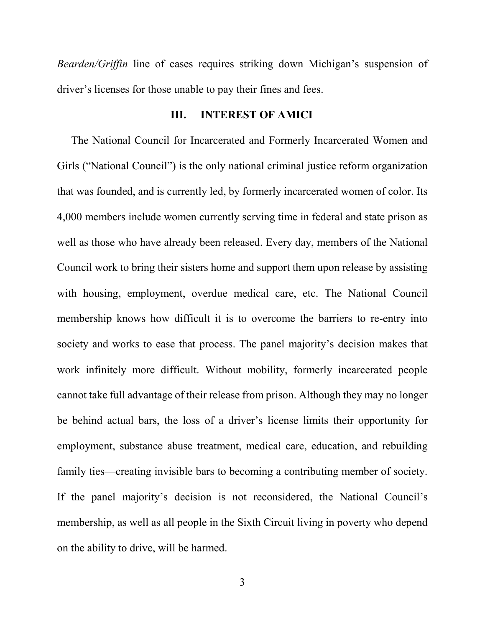*Bearden/Griffin* line of cases requires striking down Michigan's suspension of driver's licenses for those unable to pay their fines and fees.

#### **III. INTEREST OF AMICI**

<span id="page-6-0"></span>The National Council for Incarcerated and Formerly Incarcerated Women and Girls ("National Council") is the only national criminal justice reform organization that was founded, and is currently led, by formerly incarcerated women of color. Its 4,000 members include women currently serving time in federal and state prison as well as those who have already been released. Every day, members of the National Council work to bring their sisters home and support them upon release by assisting with housing, employment, overdue medical care, etc. The National Council membership knows how difficult it is to overcome the barriers to re-entry into society and works to ease that process. The panel majority's decision makes that work infinitely more difficult. Without mobility, formerly incarcerated people cannot take full advantage of their release from prison. Although they may no longer be behind actual bars, the loss of a driver's license limits their opportunity for employment, substance abuse treatment, medical care, education, and rebuilding family ties—creating invisible bars to becoming a contributing member of society. If the panel majority's decision is not reconsidered, the National Council's membership, as well as all people in the Sixth Circuit living in poverty who depend on the ability to drive, will be harmed.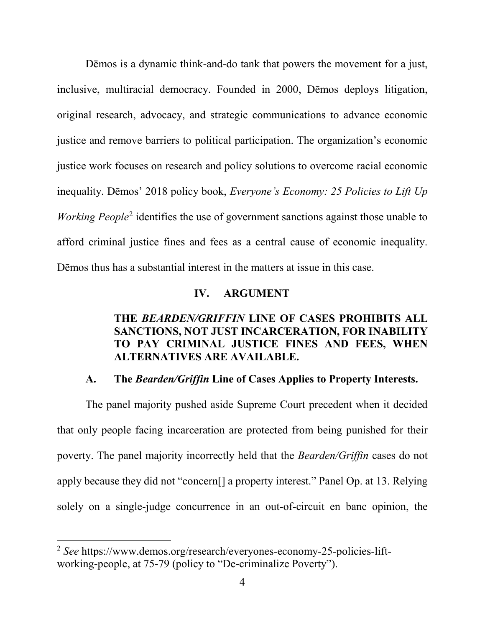Dēmos is a dynamic think-and-do tank that powers the movement for a just, inclusive, multiracial democracy. Founded in 2000, Dēmos deploys litigation, original research, advocacy, and strategic communications to advance economic justice and remove barriers to political participation. The organization's economic justice work focuses on research and policy solutions to overcome racial economic inequality. Dēmos' 2018 policy book, *Everyone's Economy: 25 Policies to Lift Up Working People*<sup>[2](#page-7-2)</sup> identifies the use of government sanctions against those unable to afford criminal justice fines and fees as a central cause of economic inequality. Dēmos thus has a substantial interest in the matters at issue in this case.

#### **IV. ARGUMENT**

### <span id="page-7-0"></span>**THE** *BEARDEN/GRIFFIN* **LINE OF CASES PROHIBITS ALL SANCTIONS, NOT JUST INCARCERATION, FOR INABILITY TO PAY CRIMINAL JUSTICE FINES AND FEES, WHEN ALTERNATIVES ARE AVAILABLE.**

#### **A. The** *Bearden/Griffin* **Line of Cases Applies to Property Interests.**

<span id="page-7-1"></span>The panel majority pushed aside Supreme Court precedent when it decided that only people facing incarceration are protected from being punished for their poverty. The panel majority incorrectly held that the *Bearden/Griffin* cases do not apply because they did not "concern[] a property interest." Panel Op. at 13. Relying solely on a single-judge concurrence in an out-of-circuit en banc opinion, the

<span id="page-7-2"></span><sup>2</sup> *See* [https://www.demos.org/research/everyones-economy-25-policies-lift](https://www.demos.org/research/everyones-economy-25-policies-lift-working-people)[working-people,](https://www.demos.org/research/everyones-economy-25-policies-lift-working-people) at 75-79 (policy to "De-criminalize Poverty").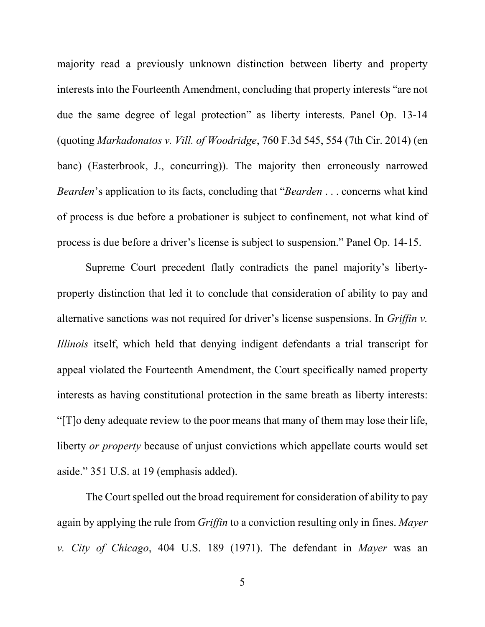majority read a previously unknown distinction between liberty and property interests into the Fourteenth Amendment, concluding that property interests "are not due the same degree of legal protection" as liberty interests. Panel Op. 13-14 (quoting *Markadonatos v. Vill. of Woodridge*, 760 F.3d 545, 554 (7th Cir. 2014) (en banc) (Easterbrook, J., concurring)). The majority then erroneously narrowed *Bearden*'s application to its facts, concluding that "*Bearden* . . . concerns what kind of process is due before a probationer is subject to confinement, not what kind of process is due before a driver's license is subject to suspension." Panel Op. 14-15.

Supreme Court precedent flatly contradicts the panel majority's libertyproperty distinction that led it to conclude that consideration of ability to pay and alternative sanctions was not required for driver's license suspensions. In *Griffin v. Illinois* itself, which held that denying indigent defendants a trial transcript for appeal violated the Fourteenth Amendment, the Court specifically named property interests as having constitutional protection in the same breath as liberty interests: "[T]o deny adequate review to the poor means that many of them may lose their life, liberty *or property* because of unjust convictions which appellate courts would set aside." 351 U.S. at 19 (emphasis added).

The Court spelled out the broad requirement for consideration of ability to pay again by applying the rule from *Griffin* to a conviction resulting only in fines. *Mayer v. City of Chicago*, 404 U.S. 189 (1971). The defendant in *Mayer* was an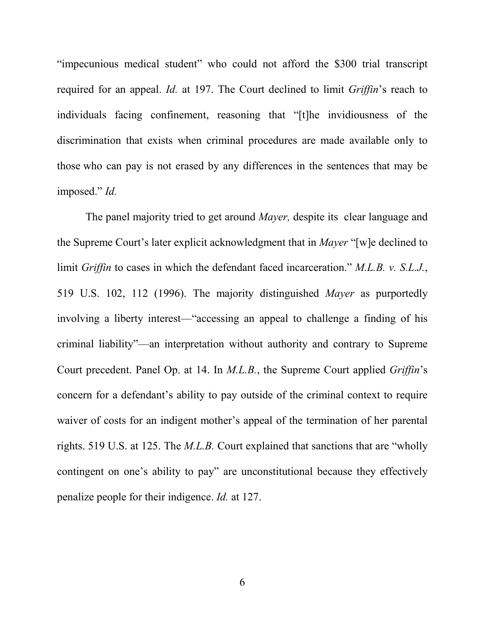"impecunious medical student" who could not afford the \$300 trial transcript required for an appeal. *Id.* at 197. The Court declined to limit *Griffin*'s reach to individuals facing confinement, reasoning that "[t]he invidiousness of the discrimination that exists when criminal procedures are made available only to those who can pay is not erased by any differences in the sentences that may be imposed." *Id.*

The panel majority tried to get around *Mayer,* despite its clear language and the Supreme Court's later explicit acknowledgment that in *Mayer* "[w]e declined to limit *Griffin* to cases in which the defendant faced incarceration." *M.L.B. v. S.L.J.*, 519 U.S. 102, 112 (1996). The majority distinguished *Mayer* as purportedly involving a liberty interest—"accessing an appeal to challenge a finding of his criminal liability"—an interpretation without authority and contrary to Supreme Court precedent. Panel Op. at 14. In *M.L.B.*, the Supreme Court applied *Griffin*'s concern for a defendant's ability to pay outside of the criminal context to require waiver of costs for an indigent mother's appeal of the termination of her parental rights. 519 U.S. at 125. The *M.L.B.* Court explained that sanctions that are "wholly contingent on one's ability to pay" are unconstitutional because they effectively penalize people for their indigence. *Id.* at 127.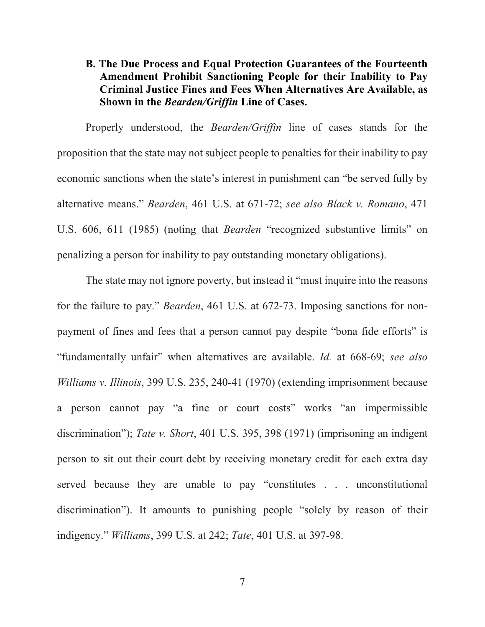## <span id="page-10-0"></span>**B. The Due Process and Equal Protection Guarantees of the Fourteenth Amendment Prohibit Sanctioning People for their Inability to Pay Criminal Justice Fines and Fees When Alternatives Are Available, as Shown in the** *Bearden/Griffin* **Line of Cases.**

Properly understood, the *Bearden/Griffin* line of cases stands for the proposition that the state may not subject people to penalties for their inability to pay economic sanctions when the state's interest in punishment can "be served fully by alternative means." *Bearden*, 461 U.S. at 671-72; *see also Black v. Romano*, 471 U.S. 606, 611 (1985) (noting that *Bearden* "recognized substantive limits" on penalizing a person for inability to pay outstanding monetary obligations).

The state may not ignore poverty, but instead it "must inquire into the reasons for the failure to pay." *Bearden*, 461 U.S. at 672-73. Imposing sanctions for nonpayment of fines and fees that a person cannot pay despite "bona fide efforts" is "fundamentally unfair" when alternatives are available. *Id.* at 668-69; *see also Williams v. Illinois*, 399 U.S. 235, 240-41 (1970) (extending imprisonment because a person cannot pay "a fine or court costs" works "an impermissible discrimination"); *Tate v. Short*, 401 U.S. 395, 398 (1971) (imprisoning an indigent person to sit out their court debt by receiving monetary credit for each extra day served because they are unable to pay "constitutes . . . unconstitutional discrimination"). It amounts to punishing people "solely by reason of their indigency." *Williams*, 399 U.S. at 242; *Tate*, 401 U.S. at 397-98.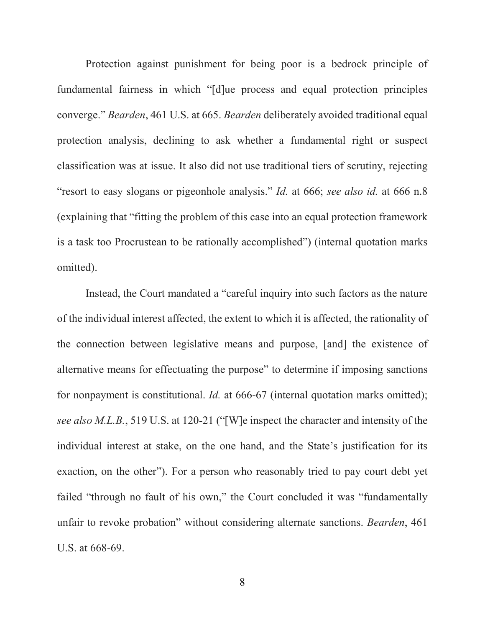Protection against punishment for being poor is a bedrock principle of fundamental fairness in which "[d]ue process and equal protection principles converge." *Bearden*, 461 U.S. at 665. *Bearden* deliberately avoided traditional equal protection analysis, declining to ask whether a fundamental right or suspect classification was at issue. It also did not use traditional tiers of scrutiny, rejecting "resort to easy slogans or pigeonhole analysis." *Id.* at 666; *see also id.* at 666 n.8 (explaining that "fitting the problem of this case into an equal protection framework is a task too Procrustean to be rationally accomplished") (internal quotation marks omitted).

Instead, the Court mandated a "careful inquiry into such factors as the nature of the individual interest affected, the extent to which it is affected, the rationality of the connection between legislative means and purpose, [and] the existence of alternative means for effectuating the purpose" to determine if imposing sanctions for nonpayment is constitutional. *Id.* at 666-67 (internal quotation marks omitted); *see also M.L.B.*, 519 U.S. at 120-21 ("[W]e inspect the character and intensity of the individual interest at stake, on the one hand, and the State's justification for its exaction, on the other"). For a person who reasonably tried to pay court debt yet failed "through no fault of his own," the Court concluded it was "fundamentally unfair to revoke probation" without considering alternate sanctions. *Bearden*, 461 U.S. at 668-69.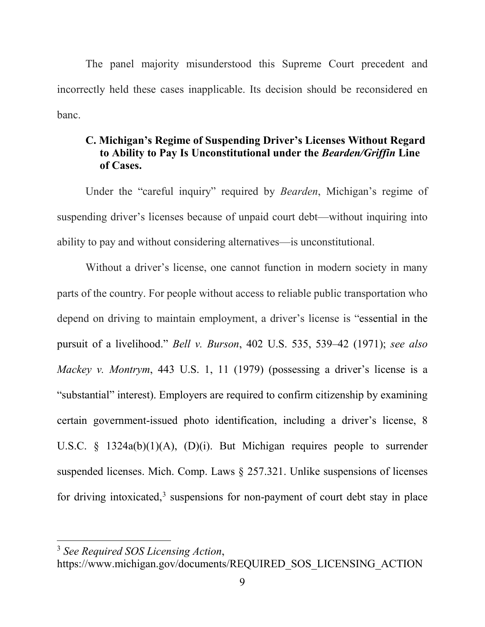The panel majority misunderstood this Supreme Court precedent and incorrectly held these cases inapplicable. Its decision should be reconsidered en banc.

### <span id="page-12-0"></span>**C. Michigan's Regime of Suspending Driver's Licenses Without Regard to Ability to Pay Is Unconstitutional under the** *Bearden/Griffin* **Line of Cases.**

Under the "careful inquiry" required by *Bearden*, Michigan's regime of suspending driver's licenses because of unpaid court debt—without inquiring into ability to pay and without considering alternatives—is unconstitutional.

Without a driver's license, one cannot function in modern society in many parts of the country. For people without access to reliable public transportation who depend on driving to maintain employment, a driver's license is "essential in the pursuit of a livelihood." *Bell v. Burson*, 402 U.S. 535, 539–42 (1971); *see also Mackey v. Montrym*, 443 U.S. 1, 11 (1979) (possessing a driver's license is a "substantial" interest). Employers are required to confirm citizenship by examining certain government-issued photo identification, including a driver's license, 8 U.S.C. § 1324a(b)(1)(A), (D)(i). But Michigan requires people to surrender suspended licenses. Mich. Comp. Laws § 257.321. Unlike suspensions of licenses for driving intoxicated, $3$  suspensions for non-payment of court debt stay in place

<span id="page-12-1"></span><sup>3</sup> *See Required SOS Licensing Action*,

https://www.michigan.gov/documents/REQUIRED\_SOS\_LICENSING\_ACTION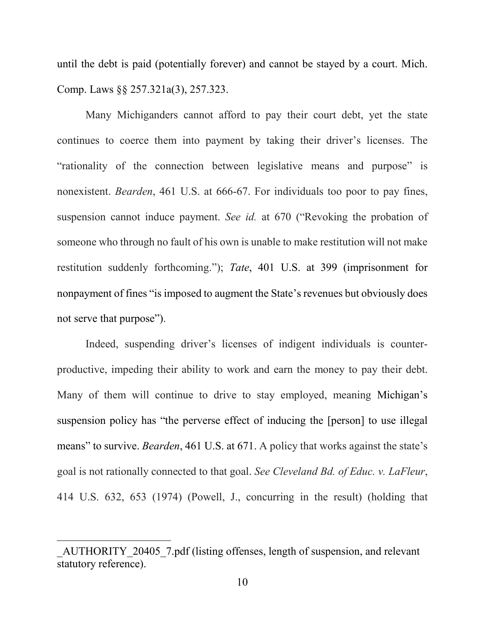until the debt is paid (potentially forever) and cannot be stayed by a court. Mich. Comp. Laws §§ 257.321a(3), 257.323.

Many Michiganders cannot afford to pay their court debt, yet the state continues to coerce them into payment by taking their driver's licenses. The "rationality of the connection between legislative means and purpose" is nonexistent. *Bearden*, 461 U.S. at 666-67. For individuals too poor to pay fines, suspension cannot induce payment. *See id.* at 670 ("Revoking the probation of someone who through no fault of his own is unable to make restitution will not make restitution suddenly forthcoming."); *Tate*, 401 U.S. at 399 (imprisonment for nonpayment of fines "is imposed to augment the State's revenues but obviously does not serve that purpose").

Indeed, suspending driver's licenses of indigent individuals is counterproductive, impeding their ability to work and earn the money to pay their debt. Many of them will continue to drive to stay employed, meaning Michigan's suspension policy has "the perverse effect of inducing the [person] to use illegal means" to survive. *Bearden*, 461 U.S. at 671. A policy that works against the state's goal is not rationally connected to that goal. *See Cleveland Bd. of Educ. v. LaFleur*, 414 U.S. 632, 653 (1974) (Powell, J., concurring in the result) (holding that

AUTHORITY 20405 7.pdf (listing offenses, length of suspension, and relevant statutory reference).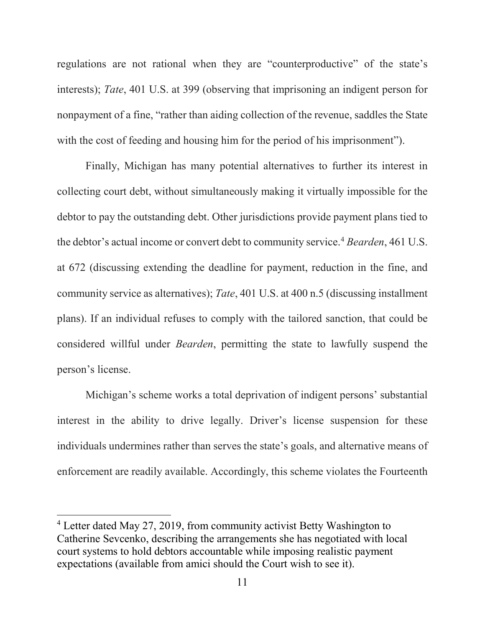regulations are not rational when they are "counterproductive" of the state's interests); *Tate*, 401 U.S. at 399 (observing that imprisoning an indigent person for nonpayment of a fine, "rather than aiding collection of the revenue, saddles the State with the cost of feeding and housing him for the period of his imprisonment").

Finally, Michigan has many potential alternatives to further its interest in collecting court debt, without simultaneously making it virtually impossible for the debtor to pay the outstanding debt. Other jurisdictions provide payment plans tied to the debtor's actual income or convert debt to community service.<sup>4</sup> *Bearden*, 461 U.S. at 672 (discussing extending the deadline for payment, reduction in the fine, and community service as alternatives); *Tate*, 401 U.S. at 400 n.5 (discussing installment plans). If an individual refuses to comply with the tailored sanction, that could be considered willful under *Bearden*, permitting the state to lawfully suspend the person's license.

Michigan's scheme works a total deprivation of indigent persons' substantial interest in the ability to drive legally. Driver's license suspension for these individuals undermines rather than serves the state's goals, and alternative means of enforcement are readily available. Accordingly, this scheme violates the Fourteenth

<span id="page-14-0"></span><sup>&</sup>lt;sup>4</sup> Letter dated May 27, 2019, from community activist Betty Washington to Catherine Sevcenko, describing the arrangements she has negotiated with local court systems to hold debtors accountable while imposing realistic payment expectations (available from amici should the Court wish to see it).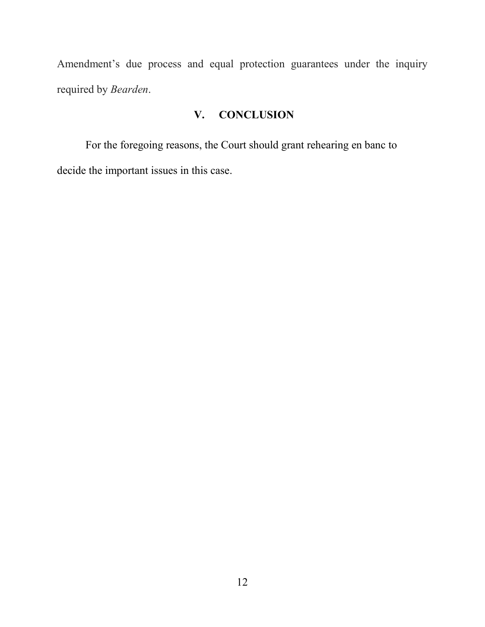Amendment's due process and equal protection guarantees under the inquiry required by *Bearden*.

## **V. CONCLUSION**

<span id="page-15-0"></span>For the foregoing reasons, the Court should grant rehearing en banc to decide the important issues in this case.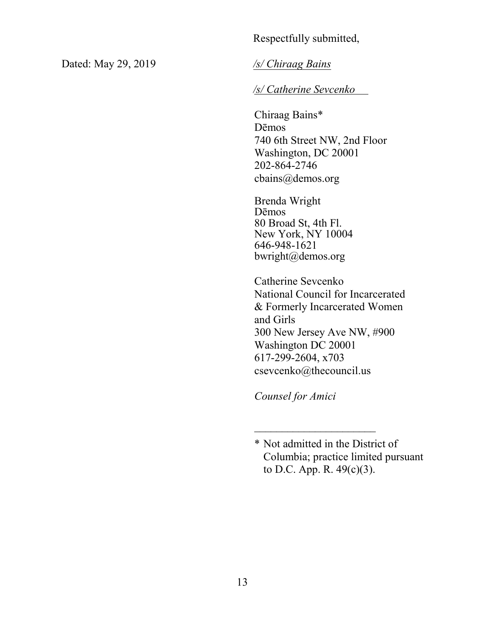### Respectfully submitted,

Dated: May 29, 2019

*/s/ Chiraag Bains* 

### */s/ Catherine Sevcenko*

Chiraag Bains\* Dēmos 740 6th Street NW, 2nd Floor Washington, DC 20001 202-864-2746 cbains@demos.org

Brenda Wright Dēmos 80 Broad St, 4th Fl. New York, NY 10004 646-948-1621 bwright@demos.org

Catherine Sevcenko National Council for Incarcerated & Formerly Incarcerated Women and Girls 300 New Jersey Ave NW, #900 Washington DC 20001 617-299-2604, x703 csevcenko@thecouncil.us

*Counsel for Amici* 

\_\_\_\_\_\_\_\_\_\_\_\_\_\_\_\_\_\_\_\_\_\_

<sup>\*</sup> Not admitted in the District of Columbia; practice limited pursuant to D.C. App. R. 49(c)(3).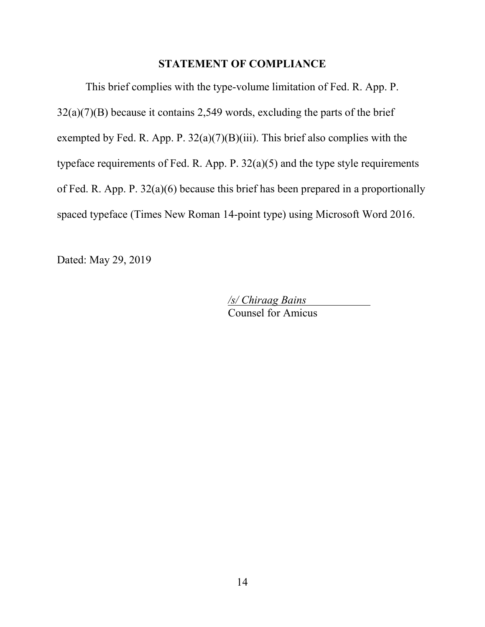### **STATEMENT OF COMPLIANCE**

This brief complies with the type-volume limitation of Fed. R. App. P. 32(a)(7)(B) because it contains 2,549 words, excluding the parts of the brief exempted by Fed. R. App. P.  $32(a)(7)(B)(iii)$ . This brief also complies with the typeface requirements of Fed. R. App. P.  $32(a)(5)$  and the type style requirements of Fed. R. App. P. 32(a)(6) because this brief has been prepared in a proportionally spaced typeface (Times New Roman 14-point type) using Microsoft Word 2016.

Dated: May 29, 2019

*/s/ Chiraag Bains* Counsel for Amicus